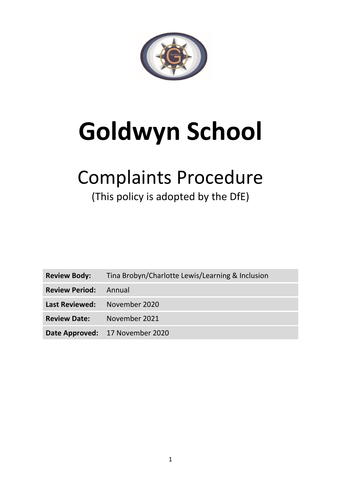

# **Goldwyn School**

## Complaints Procedure

## (This policy is adopted by the DfE)

| <b>Review Body:</b>          | Tina Brobyn/Charlotte Lewis/Learning & Inclusion |  |
|------------------------------|--------------------------------------------------|--|
| <b>Review Period:</b> Annual |                                                  |  |
| Last Reviewed: November 2020 |                                                  |  |
| <b>Review Date:</b>          | November 2021                                    |  |
|                              | Date Approved: 17 November 2020                  |  |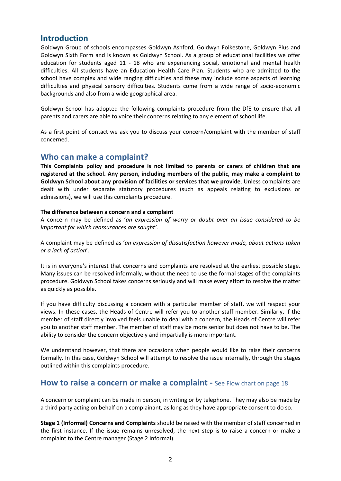#### **Introduction**

Goldwyn Group of schools encompasses Goldwyn Ashford, Goldwyn Folkestone, Goldwyn Plus and Goldwyn Sixth Form and is known as Goldwyn School. As a group of educational facilities we offer education for students aged 11 - 18 who are experiencing social, emotional and mental health difficulties. All students have an Education Health Care Plan. Students who are admitted to the school have complex and wide ranging difficulties and these may include some aspects of learning difficulties and physical sensory difficulties. Students come from a wide range of socio-economic backgrounds and also from a wide geographical area.

Goldwyn School has adopted the following complaints procedure from the DfE to ensure that all parents and carers are able to voice their concerns relating to any element of school life.

As a first point of contact we ask you to discuss your concern/complaint with the member of staff concerned.

#### **Who can make a complaint?**

**This Complaints policy and procedure is not limited to parents or carers of children that are registered at the school. Any person, including members of the public, may make a complaint to Goldwyn School about any provision of facilities or services that we provide**. Unless complaints are dealt with under separate statutory procedures (such as appeals relating to exclusions or admissions), we will use this complaints procedure.

#### **The difference between a concern and a complaint**

A concern may be defined as '*an expression of worry or doubt over an issue considered to be important for which reassurances are sought'*.

A complaint may be defined as '*an expression of dissatisfaction however made, about actions taken or a lack of action*'.

It is in everyone's interest that concerns and complaints are resolved at the earliest possible stage. Many issues can be resolved informally, without the need to use the formal stages of the complaints procedure. Goldwyn School takes concerns seriously and will make every effort to resolve the matter as quickly as possible.

If you have difficulty discussing a concern with a particular member of staff, we will respect your views. In these cases, the Heads of Centre will refer you to another staff member. Similarly, if the member of staff directly involved feels unable to deal with a concern, the Heads of Centre will refer you to another staff member. The member of staff may be more senior but does not have to be. The ability to consider the concern objectively and impartially is more important.

We understand however, that there are occasions when people would like to raise their concerns formally. In this case, Goldwyn School will attempt to resolve the issue internally, through the stages outlined within this complaints procedure.

#### **How to raise a concern or make a complaint - See Flow chart on page 18**

A concern or complaint can be made in person, in writing or by telephone. They may also be made by a third party acting on behalf on a complainant, as long as they have appropriate consent to do so.

**Stage 1 (Informal) Concerns and Complaints** should be raised with the member of staff concerned in the first instance. If the issue remains unresolved, the next step is to raise a concern or make a complaint to the Centre manager (Stage 2 Informal).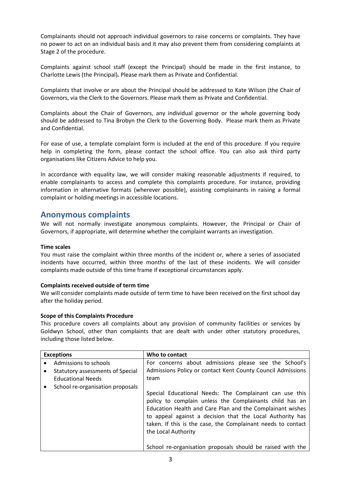Complainants should not approach individual governors to raise concerns or complaints. They have no power to act on an individual basis and it may also prevent them from considering complaints at Stage 2 of the procedure.

Complaints against school staff (except the Principal) should be made in the first instance, to Charlotte Lewis (the Principal)*.* Please mark them as Private and Confidential.

Complaints that involve or are about the Principal should be addressed to Kate Wilson (the Chair of Governors, via the Clerk to the Governors. Please mark them as Private and Confidential.

Complaints about the Chair of Governors, any individual governor or the whole governing body should be addressed to Tina Brobyn the Clerk to the Governing Body. Please mark them as Private and Confidential.

For ease of use, a template complaint form is included at the end of this procedure. If you require help in completing the form, please contact the school office. You can also ask third party organisations like Citizens Advice to help you.

In accordance with equality law, we will consider making reasonable adjustments if required, to enable complainants to access and complete this complaints procedure. For instance, providing information in alternative formats (wherever possible), assisting complainants in raising a formal complaint or holding meetings in accessible locations.

#### **Anonymous complaints**

We will not normally investigate anonymous complaints. However, the Principal or Chair of Governors, if appropriate, will determine whether the complaint warrants an investigation.

#### **Time scales**

You must raise the complaint within three months of the incident or, where a series of associated incidents have occurred, within three months of the last of these incidents. We will consider complaints made outside of this time frame if exceptional circumstances apply.

#### **Complaints received outside of term time**

We will consider complaints made outside of term time to have been received on the first school day after the holiday period.

#### **Scope of this Complaints Procedure**

This procedure covers all complaints about any provision of community facilities or services by Goldwyn School, other than complaints that are dealt with under other statutory procedures, including those listed below.

| <b>Exceptions</b> |                                  | Who to contact                                                                                                                                                                                                                                                                                                                      |
|-------------------|----------------------------------|-------------------------------------------------------------------------------------------------------------------------------------------------------------------------------------------------------------------------------------------------------------------------------------------------------------------------------------|
|                   | Admissions to schools            | For concerns about admissions please see the School's                                                                                                                                                                                                                                                                               |
|                   | Statutory assessments of Special | Admissions Policy or contact Kent County Council Admissions                                                                                                                                                                                                                                                                         |
|                   | <b>Educational Needs</b>         | team                                                                                                                                                                                                                                                                                                                                |
|                   | School re-organisation proposals |                                                                                                                                                                                                                                                                                                                                     |
|                   |                                  | Special Educational Needs: The Complainant can use this<br>policy to complain unless the Complainants child has an<br>Education Health and Care Plan and the Complainant wishes<br>to appeal against a decision that the Local Authority has<br>taken. If this is the case, the Complainant needs to contact<br>the Local Authority |
|                   |                                  | School re-organisation proposals should be raised with the                                                                                                                                                                                                                                                                          |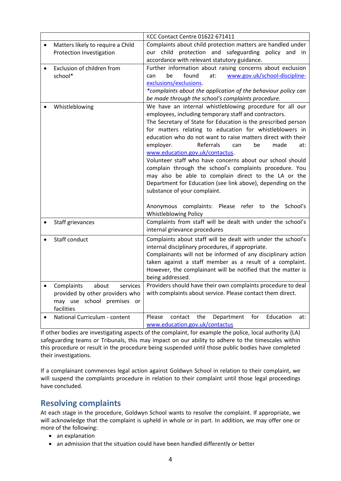|           |                                       | KCC Contact Centre 01622 671411                                                                                          |
|-----------|---------------------------------------|--------------------------------------------------------------------------------------------------------------------------|
| $\bullet$ | Matters likely to require a Child     | Complaints about child protection matters are handled under                                                              |
|           | Protection Investigation              | our child protection and safeguarding policy and in                                                                      |
|           |                                       | accordance with relevant statutory guidance.                                                                             |
|           | Exclusion of children from<br>school* | Further information about raising concerns about exclusion<br>be<br>found<br>www.gov.uk/school-discipline-<br>at:<br>can |
|           |                                       | exclusions/exclusions.                                                                                                   |
|           |                                       | *complaints about the application of the behaviour policy can                                                            |
|           |                                       | be made through the school's complaints procedure.                                                                       |
|           | Whistleblowing                        | We have an internal whistleblowing procedure for all our                                                                 |
|           |                                       | employees, including temporary staff and contractors.                                                                    |
|           |                                       | The Secretary of State for Education is the prescribed person                                                            |
|           |                                       | for matters relating to education for whistleblowers in                                                                  |
|           |                                       | education who do not want to raise matters direct with their<br>employer.<br>Referrals<br>be<br>made<br>can<br>at:       |
|           |                                       | www.education.gov.uk/contactus.                                                                                          |
|           |                                       | Volunteer staff who have concerns about our school should                                                                |
|           |                                       | complain through the school's complaints procedure. You                                                                  |
|           |                                       | may also be able to complain direct to the LA or the                                                                     |
|           |                                       | Department for Education (see link above), depending on the                                                              |
|           |                                       | substance of your complaint.                                                                                             |
|           |                                       |                                                                                                                          |
|           |                                       | Anonymous complaints: Please refer to the School's                                                                       |
|           |                                       | <b>Whistleblowing Policy</b>                                                                                             |
|           | Staff grievances                      | Complaints from staff will be dealt with under the school's                                                              |
|           |                                       | internal grievance procedures                                                                                            |
|           | Staff conduct                         | Complaints about staff will be dealt with under the school's                                                             |
|           |                                       | internal disciplinary procedures, if appropriate.                                                                        |
|           |                                       | Complainants will not be informed of any disciplinary action                                                             |
|           |                                       | taken against a staff member as a result of a complaint.<br>However, the complainant will be notified that the matter is |
|           |                                       | being addressed.                                                                                                         |
| $\bullet$ | Complaints<br>about<br>services       | Providers should have their own complaints procedure to deal                                                             |
|           | provided by other providers who       | with complaints about service. Please contact them direct.                                                               |
|           | may use school premises or            |                                                                                                                          |
|           | facilities                            |                                                                                                                          |
|           | National Curriculum - content         | the<br>Education<br>Please<br>contact<br>Department<br>for<br>at:                                                        |
|           |                                       | www.education.gov.uk/contactus                                                                                           |

If other bodies are investigating aspects of the complaint, for example the police, local authority (LA) safeguarding teams or Tribunals, this may impact on our ability to adhere to the timescales within this procedure or result in the procedure being suspended until those public bodies have completed their investigations.

If a complainant commences legal action against Goldwyn School in relation to their complaint, we will suspend the complaints procedure in relation to their complaint until those legal proceedings have concluded.

#### **Resolving complaints**

At each stage in the procedure, Goldwyn School wants to resolve the complaint. If appropriate, we will acknowledge that the complaint is upheld in whole or in part. In addition, we may offer one or more of the following:

- an explanation
- an admission that the situation could have been handled differently or better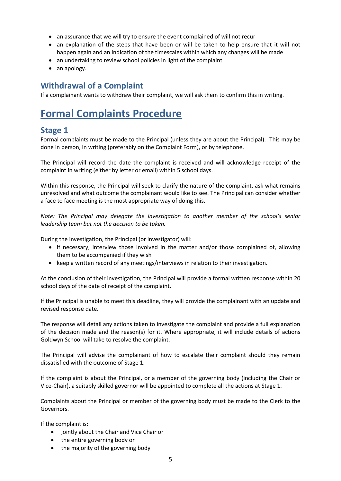- an assurance that we will try to ensure the event complained of will not recur
- an explanation of the steps that have been or will be taken to help ensure that it will not happen again and an indication of the timescales within which any changes will be made
- an undertaking to review school policies in light of the complaint
- an apology.

#### **Withdrawal of a Complaint**

If a complainant wants to withdraw their complaint, we will ask them to confirm this in writing.

## **Formal Complaints Procedure**

#### **Stage 1**

Formal complaints must be made to the Principal (unless they are about the Principal). This may be done in person, in writing (preferably on the Complaint Form), or by telephone.

The Principal will record the date the complaint is received and will acknowledge receipt of the complaint in writing (either by letter or email) within 5 school days.

Within this response, the Principal will seek to clarify the nature of the complaint, ask what remains unresolved and what outcome the complainant would like to see. The Principal can consider whether a face to face meeting is the most appropriate way of doing this.

*Note: The Principal may delegate the investigation to another member of the school's senior leadership team but not the decision to be taken.*

During the investigation, the Principal (or investigator) will:

- if necessary, interview those involved in the matter and/or those complained of, allowing them to be accompanied if they wish
- keep a written record of any meetings/interviews in relation to their investigation.

At the conclusion of their investigation, the Principal will provide a formal written response within 20 school days of the date of receipt of the complaint.

If the Principal is unable to meet this deadline, they will provide the complainant with an update and revised response date.

The response will detail any actions taken to investigate the complaint and provide a full explanation of the decision made and the reason(s) for it. Where appropriate, it will include details of actions Goldwyn School will take to resolve the complaint.

The Principal will advise the complainant of how to escalate their complaint should they remain dissatisfied with the outcome of Stage 1.

If the complaint is about the Principal, or a member of the governing body (including the Chair or Vice-Chair), a suitably skilled governor will be appointed to complete all the actions at Stage 1.

Complaints about the Principal or member of the governing body must be made to the Clerk to the Governors.

If the complaint is:

- jointly about the Chair and Vice Chair or
- the entire governing body or
- the majority of the governing body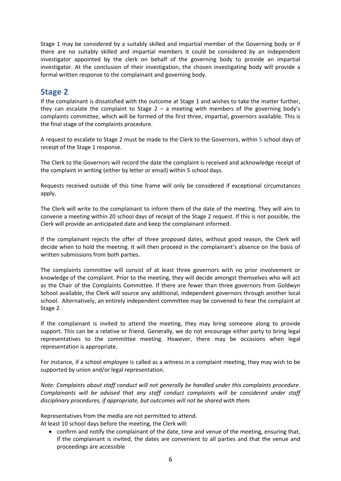Stage 1 may be considered by a suitably skilled and impartial member of the Governing body or if there are no suitably skilled and impartial members it could be considered by an independent investigator appointed by the clerk on behalf of the governing body to provide an impartial investigator. At the conclusion of their investigation, the chosen investigating body will provide a formal written response to the complainant and governing body.

#### **Stage 2**

If the complainant is dissatisfied with the outcome at Stage 1 and wishes to take the matter further, they can escalate the complaint to Stage  $2 - a$  meeting with members of the governing body's complaints committee, which will be formed of the first three, impartial, governors available. This is the final stage of the complaints procedure.

A request to escalate to Stage 2 must be made to the Clerk to the Governors, within 5 school days of receipt of the Stage 1 response.

The Clerk to the Governors will record the date the complaint is received and acknowledge receipt of the complaint in writing (either by letter or email) within 5 school days.

Requests received outside of this time frame will only be considered if exceptional circumstances apply.

The Clerk will write to the complainant to inform them of the date of the meeting. They will aim to convene a meeting within 20 school days of receipt of the Stage 2 request. If this is not possible, the Clerk will provide an anticipated date and keep the complainant informed.

If the complainant rejects the offer of three proposed dates, without good reason, the Clerk will decide when to hold the meeting. It will then proceed in the complainant's absence on the basis of written submissions from both parties.

The complaints committee will consist of at least three governors with no prior involvement or knowledge of the complaint. Prior to the meeting, they will decide amongst themselves who will act as the Chair of the Complaints Committee. If there are fewer than three governors from Goldwyn School available, the Clerk will source any additional, independent governors through another local school. Alternatively, an entirely independent committee may be convened to hear the complaint at Stage 2.

If the complainant is invited to attend the meeting, they may bring someone along to provide support. This can be a relative or friend. Generally, we do not encourage either party to bring legal representatives to the committee meeting. However, there may be occasions when legal representation is appropriate.

For instance, if a school employee is called as a witness in a complaint meeting, they may wish to be supported by union and/or legal representation.

*Note: Complaints about staff conduct will not generally be handled under this complaints procedure. Complainants will be advised that any staff conduct complaints will be considered under staff disciplinary procedures, if appropriate, but outcomes will not be shared with them.* 

Representatives from the media are not permitted to attend.

At least 10 school days before the meeting, the Clerk will:

 confirm and notify the complainant of the date, time and venue of the meeting, ensuring that, if the complainant is invited, the dates are convenient to all parties and that the venue and proceedings are accessible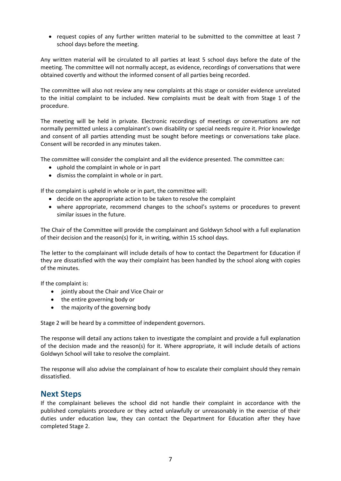• request copies of any further written material to be submitted to the committee at least 7 school days before the meeting.

Any written material will be circulated to all parties at least 5 school days before the date of the meeting. The committee will not normally accept, as evidence, recordings of conversations that were obtained covertly and without the informed consent of all parties being recorded.

The committee will also not review any new complaints at this stage or consider evidence unrelated to the initial complaint to be included. New complaints must be dealt with from Stage 1 of the procedure.

The meeting will be held in private. Electronic recordings of meetings or conversations are not normally permitted unless a complainant's own disability or special needs require it. Prior knowledge and consent of all parties attending must be sought before meetings or conversations take place. Consent will be recorded in any minutes taken.

The committee will consider the complaint and all the evidence presented. The committee can:

- uphold the complaint in whole or in part
- dismiss the complaint in whole or in part.

If the complaint is upheld in whole or in part, the committee will:

- decide on the appropriate action to be taken to resolve the complaint
- where appropriate, recommend changes to the school's systems or procedures to prevent similar issues in the future.

The Chair of the Committee will provide the complainant and Goldwyn School with a full explanation of their decision and the reason(s) for it, in writing, within 15 school days.

The letter to the complainant will include details of how to contact the Department for Education if they are dissatisfied with the way their complaint has been handled by the school along with copies of the minutes.

If the complaint is:

- jointly about the Chair and Vice Chair or
- the entire governing body or
- the majority of the governing body

Stage 2 will be heard by a committee of independent governors.

The response will detail any actions taken to investigate the complaint and provide a full explanation of the decision made and the reason(s) for it. Where appropriate, it will include details of actions Goldwyn School will take to resolve the complaint.

The response will also advise the complainant of how to escalate their complaint should they remain dissatisfied.

#### **Next Steps**

If the complainant believes the school did not handle their complaint in accordance with the published complaints procedure or they acted unlawfully or unreasonably in the exercise of their duties under education law, they can contact the Department for Education after they have completed Stage 2.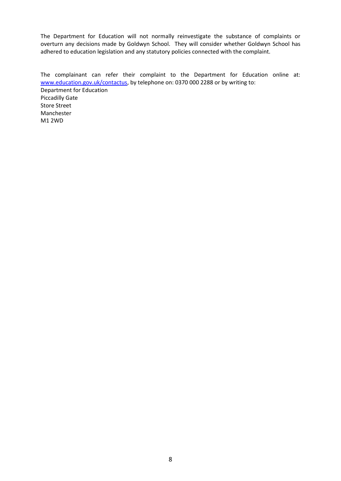The Department for Education will not normally reinvestigate the substance of complaints or overturn any decisions made by Goldwyn School. They will consider whether Goldwyn School has adhered to education legislation and any statutory policies connected with the complaint.

The complainant can refer their complaint to the Department for Education online at: [www.education.gov.uk/contactus,](http://www.education.gov.uk/contactus) by telephone on: 0370 000 2288 or by writing to: Department for Education Piccadilly Gate Store Street Manchester M1 2WD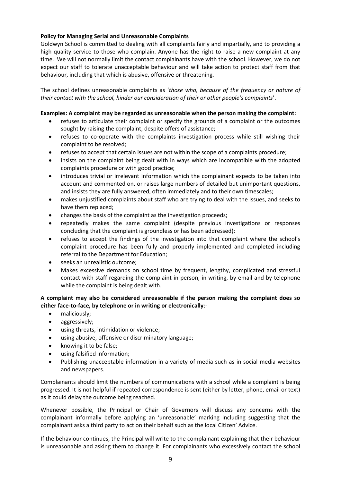#### **Policy for Managing Serial and Unreasonable Complaints**

Goldwyn School is committed to dealing with all complaints fairly and impartially, and to providing a high quality service to those who complain. Anyone has the right to raise a new complaint at any time. We will not normally limit the contact complainants have with the school. However, we do not expect our staff to tolerate unacceptable behaviour and will take action to protect staff from that behaviour, including that which is abusive, offensive or threatening.

The school defines unreasonable complaints as '*those who, because of the frequency or nature of their contact with the school, hinder our consideration of their or other people's complaints*'.

#### **Examples: A complaint may be regarded as unreasonable when the person making the complaint:**

- refuses to articulate their complaint or specify the grounds of a complaint or the outcomes sought by raising the complaint, despite offers of assistance;
- refuses to co-operate with the complaints investigation process while still wishing their complaint to be resolved;
- refuses to accept that certain issues are not within the scope of a complaints procedure;
- insists on the complaint being dealt with in ways which are incompatible with the adopted complaints procedure or with good practice;
- introduces trivial or irrelevant information which the complainant expects to be taken into account and commented on, or raises large numbers of detailed but unimportant questions, and insists they are fully answered, often immediately and to their own timescales;
- makes unjustified complaints about staff who are trying to deal with the issues, and seeks to have them replaced;
- changes the basis of the complaint as the investigation proceeds;
- repeatedly makes the same complaint (despite previous investigations or responses concluding that the complaint is groundless or has been addressed);
- refuses to accept the findings of the investigation into that complaint where the school's complaint procedure has been fully and properly implemented and completed including referral to the Department for Education;
- seeks an unrealistic outcome;
- Makes excessive demands on school time by frequent, lengthy, complicated and stressful contact with staff regarding the complaint in person, in writing, by email and by telephone while the complaint is being dealt with.

#### **A complaint may also be considered unreasonable if the person making the complaint does so either face-to-face, by telephone or in writing or electronically**:-

- maliciously;
- aggressively;
- using threats, intimidation or violence;
- using abusive, offensive or discriminatory language;
- knowing it to be false;
- using falsified information;
- Publishing unacceptable information in a variety of media such as in social media websites and newspapers.

Complainants should limit the numbers of communications with a school while a complaint is being progressed. It is not helpful if repeated correspondence is sent (either by letter, phone, email or text) as it could delay the outcome being reached.

Whenever possible, the Principal or Chair of Governors will discuss any concerns with the complainant informally before applying an 'unreasonable' marking including suggesting that the complainant asks a third party to act on their behalf such as the local Citizen' Advice.

If the behaviour continues, the Principal will write to the complainant explaining that their behaviour is unreasonable and asking them to change it. For complainants who excessively contact the school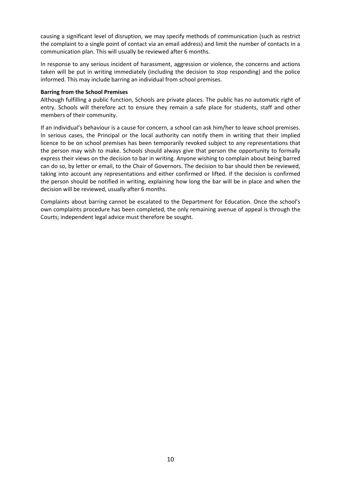causing a significant level of disruption, we may specify methods of communication (such as restrict the complaint to a single point of contact via an email address) and limit the number of contacts in a communication plan. This will usually be reviewed after 6 months.

In response to any serious incident of harassment, aggression or violence, the concerns and actions taken will be put in writing immediately (including the decision to stop responding) and the police informed. This may include barring an individual from school premises.

#### **Barring from the School Premises**

Although fulfilling a public function, Schools are private places. The public has no automatic right of entry. Schools will therefore act to ensure they remain a safe place for students, staff and other members of their community.

If an individual's behaviour is a cause for concern, a school can ask him/her to leave school premises. In serious cases, the Principal or the local authority can notify them in writing that their implied licence to be on school premises has been temporarily revoked subject to any representations that the person may wish to make. Schools should always give that person the opportunity to formally express their views on the decision to bar in writing. Anyone wishing to complain about being barred can do so, by letter or email, to the Chair of Governors. The decision to bar should then be reviewed, taking into account any representations and either confirmed or lifted. If the decision is confirmed the person should be notified in writing, explaining how long the bar will be in place and when the decision will be reviewed, usually after 6 months.

Complaints about barring cannot be escalated to the Department for Education. Once the school's own complaints procedure has been completed, the only remaining avenue of appeal is through the Courts; independent legal advice must therefore be sought.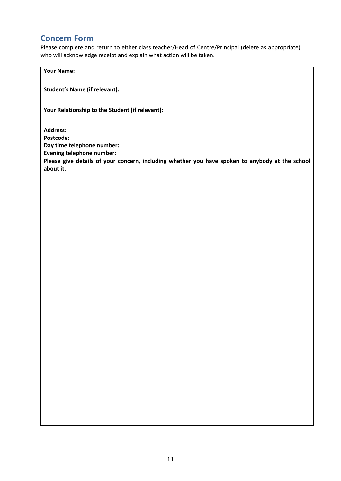#### **Concern Form**

Please complete and return to either class teacher/Head of Centre/Principal (delete as appropriate) who will acknowledge receipt and explain what action will be taken.

**Your Name:**

**Student's Name (if relevant):**

**Your Relationship to the Student (if relevant):**

**Address:** 

**Postcode:**

**Day time telephone number:**

**Evening telephone number:**

**Please give details of your concern, including whether you have spoken to anybody at the school about it.**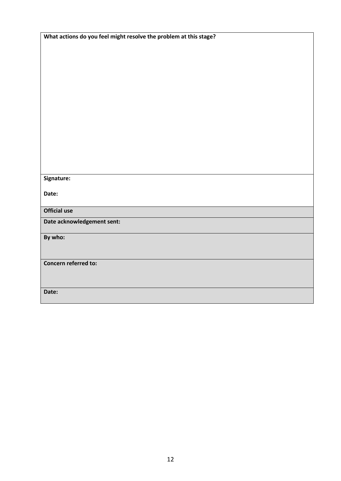| What actions do you feel might resolve the problem at this stage? |
|-------------------------------------------------------------------|
|                                                                   |
|                                                                   |
|                                                                   |
|                                                                   |
|                                                                   |
|                                                                   |
|                                                                   |
|                                                                   |
|                                                                   |
|                                                                   |
|                                                                   |
|                                                                   |
|                                                                   |
|                                                                   |
|                                                                   |
|                                                                   |
|                                                                   |
| Signature:                                                        |
|                                                                   |
| Date:                                                             |
|                                                                   |
| <b>Official use</b>                                               |
|                                                                   |
| Date acknowledgement sent:                                        |
|                                                                   |
| By who:                                                           |
|                                                                   |
|                                                                   |
| Concern referred to:                                              |
|                                                                   |
|                                                                   |
|                                                                   |
| Date:                                                             |
|                                                                   |
|                                                                   |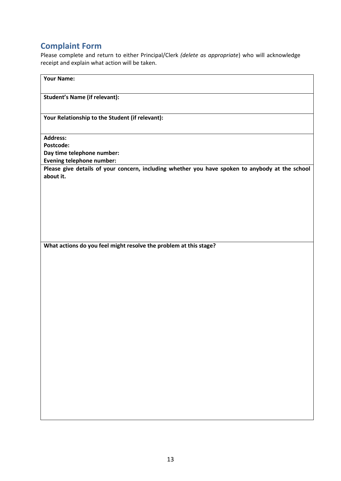## **Complaint Form**

Please complete and return to either Principal/Clerk *(delete as appropriate*) who will acknowledge receipt and explain what action will be taken.

| <b>Your Name:</b>                                                                                            |  |  |
|--------------------------------------------------------------------------------------------------------------|--|--|
| <b>Student's Name (if relevant):</b>                                                                         |  |  |
| Your Relationship to the Student (if relevant):                                                              |  |  |
| <b>Address:</b><br>Postcode:                                                                                 |  |  |
| Day time telephone number:<br>Evening telephone number:                                                      |  |  |
| Please give details of your concern, including whether you have spoken to anybody at the school<br>about it. |  |  |
|                                                                                                              |  |  |
|                                                                                                              |  |  |
|                                                                                                              |  |  |
| What actions do you feel might resolve the problem at this stage?                                            |  |  |
|                                                                                                              |  |  |
|                                                                                                              |  |  |
|                                                                                                              |  |  |
|                                                                                                              |  |  |
|                                                                                                              |  |  |
|                                                                                                              |  |  |
|                                                                                                              |  |  |
|                                                                                                              |  |  |
|                                                                                                              |  |  |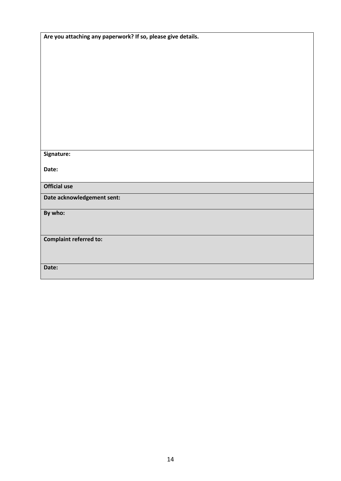| Are you attaching any paperwork? If so, please give details. |  |  |
|--------------------------------------------------------------|--|--|
|                                                              |  |  |
|                                                              |  |  |
|                                                              |  |  |
|                                                              |  |  |
|                                                              |  |  |
|                                                              |  |  |
|                                                              |  |  |
|                                                              |  |  |
|                                                              |  |  |
|                                                              |  |  |
| Signature:                                                   |  |  |
|                                                              |  |  |
| Date:                                                        |  |  |
| <b>Official use</b>                                          |  |  |
| Date acknowledgement sent:                                   |  |  |
|                                                              |  |  |
| By who:                                                      |  |  |
|                                                              |  |  |
| <b>Complaint referred to:</b>                                |  |  |
|                                                              |  |  |
|                                                              |  |  |
| Date:                                                        |  |  |
|                                                              |  |  |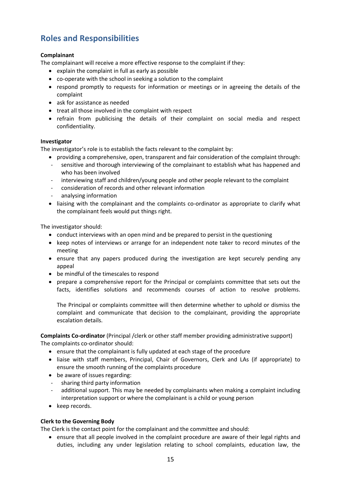### **Roles and Responsibilities**

#### **Complainant**

The complainant will receive a more effective response to the complaint if they:

- explain the complaint in full as early as possible
- co-operate with the school in seeking a solution to the complaint
- respond promptly to requests for information or meetings or in agreeing the details of the complaint
- ask for assistance as needed
- treat all those involved in the complaint with respect
- refrain from publicising the details of their complaint on social media and respect confidentiality.

#### **Investigator**

The investigator's role is to establish the facts relevant to the complaint by:

- providing a comprehensive, open, transparent and fair consideration of the complaint through:
- sensitive and thorough interviewing of the complainant to establish what has happened and who has been involved
- interviewing staff and children/young people and other people relevant to the complaint
- consideration of records and other relevant information
- analysing information
- liaising with the complainant and the complaints co-ordinator as appropriate to clarify what the complainant feels would put things right.

The investigator should:

- conduct interviews with an open mind and be prepared to persist in the questioning
- keep notes of interviews or arrange for an independent note taker to record minutes of the meeting
- ensure that any papers produced during the investigation are kept securely pending any appeal
- be mindful of the timescales to respond
- prepare a comprehensive report for the Principal or complaints committee that sets out the facts, identifies solutions and recommends courses of action to resolve problems.

The Principal or complaints committee will then determine whether to uphold or dismiss the complaint and communicate that decision to the complainant, providing the appropriate escalation details.

**Complaints Co-ordinator** (Principal /clerk or other staff member providing administrative support) The complaints co-ordinator should:

- ensure that the complainant is fully updated at each stage of the procedure
- liaise with staff members, Principal, Chair of Governors, Clerk and LAs (if appropriate) to ensure the smooth running of the complaints procedure
- be aware of issues regarding:
- sharing third party information
- additional support. This may be needed by complainants when making a complaint including interpretation support or where the complainant is a child or young person
- keep records.

#### **Clerk to the Governing Body**

The Clerk is the contact point for the complainant and the committee and should:

 ensure that all people involved in the complaint procedure are aware of their legal rights and duties, including any under legislation relating to school complaints, education law, the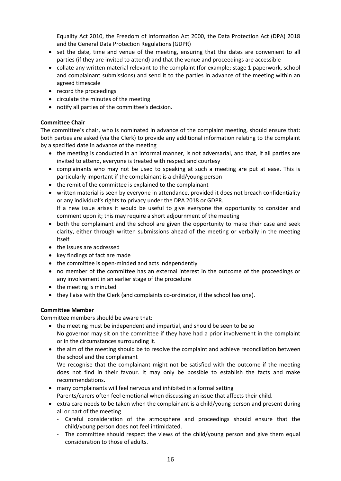Equality Act 2010, the Freedom of Information Act 2000, the Data Protection Act (DPA) 2018 and the General Data Protection Regulations (GDPR)

- set the date, time and venue of the meeting, ensuring that the dates are convenient to all parties (if they are invited to attend) and that the venue and proceedings are accessible
- collate any written material relevant to the complaint (for example; stage 1 paperwork, school and complainant submissions) and send it to the parties in advance of the meeting within an agreed timescale
- record the proceedings
- circulate the minutes of the meeting
- notify all parties of the committee's decision.

#### **Committee Chair**

The committee's chair, who is nominated in advance of the complaint meeting, should ensure that: both parties are asked (via the Clerk) to provide any additional information relating to the complaint by a specified date in advance of the meeting

- the meeting is conducted in an informal manner, is not adversarial, and that, if all parties are invited to attend, everyone is treated with respect and courtesy
- complainants who may not be used to speaking at such a meeting are put at ease. This is particularly important if the complainant is a child/young person
- the remit of the committee is explained to the complainant
- written material is seen by everyone in attendance, provided it does not breach confidentiality or any individual's rights to privacy under the DPA 2018 or GDPR. If a new issue arises it would be useful to give everyone the opportunity to consider and
- comment upon it; this may require a short adjournment of the meeting • both the complainant and the school are given the opportunity to make their case and seek clarity, either through written submissions ahead of the meeting or verbally in the meeting itself
- the issues are addressed
- key findings of fact are made
- the committee is open-minded and acts independently
- no member of the committee has an external interest in the outcome of the proceedings or any involvement in an earlier stage of the procedure
- the meeting is minuted
- $\bullet$  they liaise with the Clerk (and complaints co-ordinator, if the school has one).

#### **Committee Member**

Committee members should be aware that:

- the meeting must be independent and impartial, and should be seen to be so No governor may sit on the committee if they have had a prior involvement in the complaint or in the circumstances surrounding it.
- the aim of the meeting should be to resolve the complaint and achieve reconciliation between the school and the complainant

We recognise that the complainant might not be satisfied with the outcome if the meeting does not find in their favour. It may only be possible to establish the facts and make recommendations.

- many complainants will feel nervous and inhibited in a formal setting
- Parents/carers often feel emotional when discussing an issue that affects their child.
- extra care needs to be taken when the complainant is a child/young person and present during all or part of the meeting
	- Careful consideration of the atmosphere and proceedings should ensure that the child/young person does not feel intimidated.
	- The committee should respect the views of the child/young person and give them equal consideration to those of adults.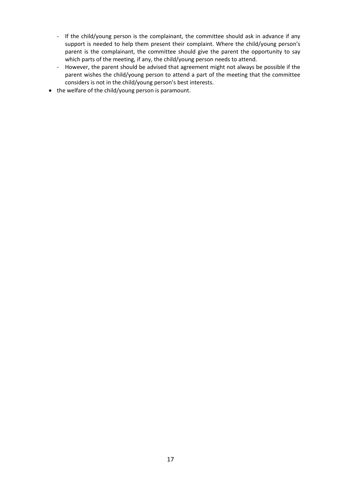- If the child/young person is the complainant, the committee should ask in advance if any support is needed to help them present their complaint. Where the child/young person's parent is the complainant, the committee should give the parent the opportunity to say which parts of the meeting, if any, the child/young person needs to attend.
- However, the parent should be advised that agreement might not always be possible if the parent wishes the child/young person to attend a part of the meeting that the committee considers is not in the child/young person's best interests.
- the welfare of the child/young person is paramount.